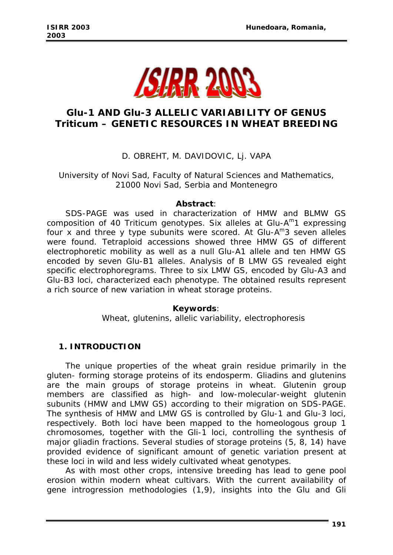

# *Glu-1* **AND** *Glu-3* **ALLELIC VARIABILITY OF GENUS**  *Triticum* **– GENETIC RESOURCES IN WHEAT BREEDING**

## D. OBREHT, M. DAVIDOVIC, Lj. VAPA

University of Novi Sad, Faculty of Natural Sciences and Mathematics, 21000 Novi Sad, Serbia and Montenegro

#### *Abstract:*

*SDS-PAGE was used in characterization of HMW and BLMW GS composition of 40 Triticum genotypes. Six alleles at Glu-Am1 expressing four x and three y type subunits were scored. At Glu-Am3 seven alleles were found. Tetraploid accessions showed three HMW GS of different electrophoretic mobility as well as a null Glu-A1 allele and ten HMW GS encoded by seven Glu-B1 alleles. Analysis of B LMW GS revealed eight specific electrophoregrams. Three to six LMW GS, encoded by Glu-A3 and Glu-B3 loci, characterized each phenotype. The obtained results represent a rich source of new variation in wheat storage proteins.* 

### *Keywords:*

*Wheat, glutenins, allelic variability, electrophoresis* 

### **1. INTRODUCTION**

The unique properties of the wheat grain residue primarily in the gluten- forming storage proteins of its endosperm. Gliadins and glutenins are the main groups of storage proteins in wheat. Glutenin group members are classified as high- and low-molecular-weight glutenin subunits (HMW and LMW GS) according to their migration on SDS-PAGE. The synthesis of HMW and LMW GS is controlled by *Glu-1* and *Glu-3* loci, respectively. Both loci have been mapped to the homeologous group 1 chromosomes, together with the *Gli-1* loci, controlling the synthesis of major gliadin fractions. Several studies of storage proteins (5, 8, 14) have provided evidence of significant amount of genetic variation present at these loci in wild and less widely cultivated wheat genotypes.

As with most other crops, intensive breeding has lead to gene pool erosion within modern wheat cultivars. With the current availability of gene introgression methodologies (1,9), insights into the *Glu* and *Gli*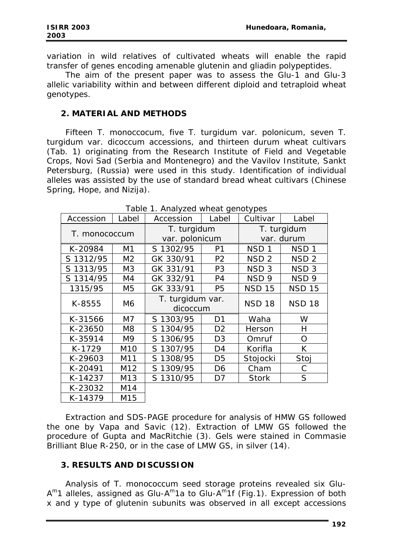variation in wild relatives of cultivated wheats will enable the rapid transfer of genes encoding amenable glutenin and gliadin polypeptides.

The aim of the present paper was to assess the *Glu-1* and *Glu-3* allelic variability within and between different diploid and tetraploid wheat genotypes.

## **2. MATERIAL AND METHODS**

Fifteen *T. monoccocum*, five *T. turgidum* var. *polonicum*, seven *T. turgidum* var. *dicoccum* accessions, and thirteen durum wheat cultivars (Tab. 1) originating from the Research Institute of Field and Vegetable Crops, Novi Sad (Serbia and Montenegro) and the Vavilov Institute, Sankt Petersburg, (Russia) were used in this study. Identification of individual alleles was assisted by the use of standard bread wheat cultivars (Chinese Spring, Hope, and Nizija).

| Accession     | Label           | Accession                    | Label          | Cultivar         | Label            |  |
|---------------|-----------------|------------------------------|----------------|------------------|------------------|--|
| T. monococcum |                 | T. turgidum                  |                | T. turgidum      |                  |  |
|               |                 | var. polonicum               |                |                  | var. durum       |  |
| K-20984       | M1              | S 1302/95                    | P <sub>1</sub> | NSD <sub>1</sub> | NSD <sub>1</sub> |  |
| S 1312/95     | M <sub>2</sub>  | GK 330/91                    | P <sub>2</sub> | NSD <sub>2</sub> | NSD <sub>2</sub> |  |
| S 1313/95     | M <sub>3</sub>  | GK 331/91                    | P <sub>3</sub> | NSD <sub>3</sub> | NSD <sub>3</sub> |  |
| S 1314/95     | M4              | GK 332/91                    | P <sub>4</sub> | NSD <sub>9</sub> | NSD <sub>9</sub> |  |
| 1315/95       | M <sub>5</sub>  | GK 333/91                    | P <sub>5</sub> | <b>NSD 15</b>    | <b>NSD 15</b>    |  |
| K-8555        | M6              | T. turgidum var.<br>dicoccum |                | <b>NSD 18</b>    | <b>NSD 18</b>    |  |
|               |                 |                              |                |                  |                  |  |
| K-31566       | M7              | S 1303/95                    | D <sub>1</sub> | Waha             | W                |  |
| K-23650       | M <sub>8</sub>  | S 1304/95                    | D <sub>2</sub> | Herson           | Н                |  |
| K-35914       | M <sub>9</sub>  | S 1306/95                    | D <sub>3</sub> | Omruf            | O                |  |
| K-1729        | M <sub>10</sub> | S 1307/95                    | D4             | Korifla          | K                |  |
| K-29603       | M11             | S 1308/95                    | D <sub>5</sub> | Stojocki         | Stoj             |  |
| K-20491       | M <sub>12</sub> | S 1309/95                    | D6             | Cham             | С                |  |
| K-14237       | M13             | S 1310/95                    | D7             | <b>Stork</b>     | S                |  |
| K-23032       | M14             |                              |                |                  |                  |  |
| K-14379       | M15             |                              |                |                  |                  |  |

*Table 1. Analyzed wheat genotypes* 

Extraction and SDS-PAGE procedure for analysis of HMW GS followed the one by Vapa and Savic (12). Extraction of LMW GS followed the procedure of Gupta and MacRitchie (3). Gels were stained in Commasie Brilliant Blue R-250, or in the case of LMW GS, in silver (14).

# **3. RESULTS AND DISCUSSION**

Analysis of *T. monococcum* seed storage proteins revealed six *Glu-Am1* alleles, assigned as *Glu-Am1*a to *Glu-Am1*f (Fig.1). Expression of both x and y type of glutenin subunits was observed in all except accessions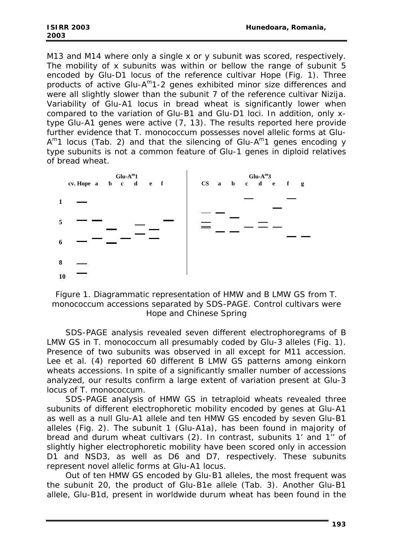M13 and M14 where only a single x or y subunit was scored, respectively. The mobility of x subunits was within or bellow the range of subunit 5 encoded by *Glu-D1* locus of the reference cultivar Hope (Fig. 1). Three products of active *Glu-Am1*-2 genes exhibited minor size differences and were all slightly slower than the subunit 7 of the reference cultivar Nizija. Variability of *Glu-A1* locus in bread wheat is significantly lower when compared to the variation of *Glu-B1* and *Glu-D1* loci. In addition, only xtype *Glu-A1* genes were active (7, 13). The results reported here provide further evidence that *T. monococcum* possesses novel allelic forms at *Glu-Am1* locus (Tab. 2) and that the silencing of *Glu-Am1* genes encoding y type subunits is not a common feature of *Glu-1* genes in diploid relatives of bread wheat.



*Figure 1. Diagrammatic representation of HMW and B LMW GS from T. monococcum accessions separated by SDS-PAGE. Control cultivars were Hope and Chinese Spring* 

SDS-PAGE analysis revealed seven different electrophoregrams of B LMW GS in *T. monococcum* all presumably coded by *Glu-3* alleles (Fig. 1). Presence of two subunits was observed in all except for M11 accession. Lee et al. (4) reported 60 different B LMW GS patterns among einkorn wheats accessions. In spite of a significantly smaller number of accessions analyzed, our results confirm a large extent of variation present at *Glu-3*  locus of *T. monococcum.* 

SDS-PAGE analysis of HMW GS in tetraploid wheats revealed three subunits of different electrophoretic mobility encoded by genes at *Glu-A1* as well as a null *Glu-A1* allele and ten HMW GS encoded by seven *Glu-B1* alleles (Fig. 2). The subunit 1 (*Glu-A1a*), has been found in majority of bread and durum wheat cultivars (2). In contrast, subunits 1' and 1'' of slightly higher electrophoretic mobility have been scored only in accession D1 and NSD3, as well as D6 and D7, respectively. These subunits represent novel allelic forms at *Glu-A1* locus.

Out of ten HMW GS encoded by *Glu-B1* alleles, the most frequent was the subunit 20, the product of *Glu-B1*e allele (Tab. 3). Another *Glu-B1* allele, *Glu-B1d*, present in worldwide durum wheat has been found in the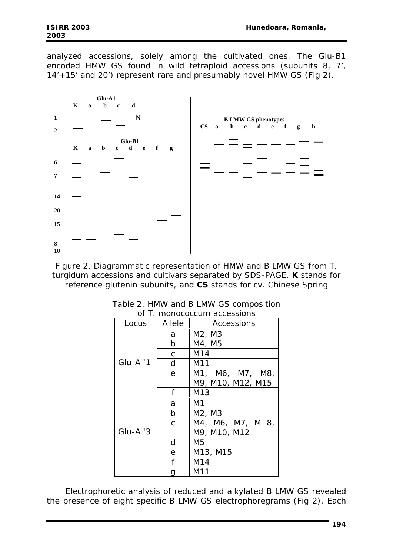analyzed accessions, solely among the cultivated ones. The *Glu-B1* encoded HMW GS found in wild tetraploid accessions (subunits 8, 7', 14'+15' and 20') represent rare and presumably novel HMW GS (Fig 2).



*Figure 2. Diagrammatic representation of HMW and B LMW GS from T. turgidum accessions and cultivars separated by SDS-PAGE. K stands for reference glutenin subunits, and CS stands for cv. Chinese Spring* 

| Locus        | Allele       | <i>UL I. MUNUCUCCUNI accessions</i><br>Accessions |  |  |
|--------------|--------------|---------------------------------------------------|--|--|
|              | а            | M2, M3                                            |  |  |
|              | b            | M4, M5                                            |  |  |
| $Glu-A^m1$   | C            | M14                                               |  |  |
|              | d            | M11                                               |  |  |
|              | e            | M1, M6, M7, M8,                                   |  |  |
|              |              | M9, M10, M12, M15                                 |  |  |
|              | f            | M13                                               |  |  |
|              | a            | M1                                                |  |  |
|              | b            | M <sub>2</sub> , M <sub>3</sub>                   |  |  |
|              | $\mathsf{C}$ | M4, M6, M7, M 8,                                  |  |  |
| $Glu-A^{m}3$ |              | M9, M10, M12                                      |  |  |
|              | d            | M5                                                |  |  |
|              | e            | M13, M15                                          |  |  |
|              | f            | M14                                               |  |  |
|              | M11          |                                                   |  |  |

*Table 2. HMW and B LMW GS composition of T. monococcum accessions* 

Electrophoretic analysis of reduced and alkylated B LMW GS revealed the presence of eight specific B LMW GS electrophoregrams (Fig 2). Each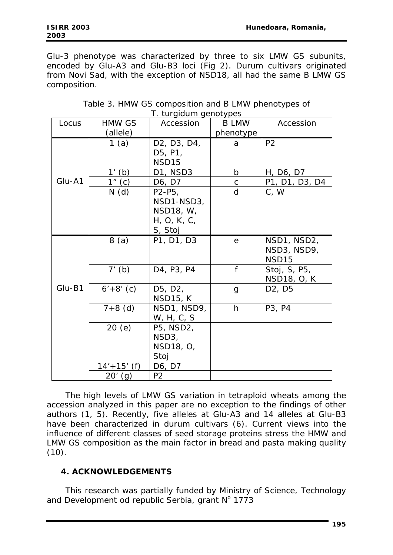*Glu-3* phenotype was characterized by three to six LMW GS subunits, encoded by *Glu-A3* and *Glu-B3* loci (Fig 2). Durum cultivars originated from Novi Sad, with the exception of NSD18, all had the same B LMW GS composition.

| Locus    | <b>HMW GS</b> | Accession                                                                                                    | <b>B LMW</b> | Accession                                       |
|----------|---------------|--------------------------------------------------------------------------------------------------------------|--------------|-------------------------------------------------|
|          | (allele)      |                                                                                                              | phenotype    |                                                 |
|          | 1(a)          | D <sub>2</sub> , D <sub>3</sub> , D <sub>4</sub> ,<br>D <sub>5</sub> , P <sub>1</sub> ,<br>NSD <sub>15</sub> | a            | P <sub>2</sub>                                  |
|          | $1'$ (b)      | D1, NSD3                                                                                                     | $\mathsf{b}$ | H, D6, D7                                       |
| $Glu-A1$ | $1''$ (c)     | D6, D7                                                                                                       | $\mathsf{C}$ | P1, D1, D3, D4                                  |
|          | N(d)          | $P2-P5$<br>NSD1-NSD3,<br>NSD18, W,<br>H, O, K, C,<br>S, Stoj                                                 | d            | C, W                                            |
| $Glu-B1$ | 8(a)          | P1, D1, D3                                                                                                   | e            | NSD1, NSD2,<br>NSD3, NSD9,<br>NSD <sub>15</sub> |
|          | $7'$ (b)      | D4, P3, P4                                                                                                   | f            | Stoj, S, P5,<br>NSD18, O, K                     |
|          | $6'+8'$ (c)   | D5, D2,<br><b>NSD15, K</b>                                                                                   | g            | D <sub>2</sub> , D <sub>5</sub>                 |
|          | $7+8$ (d)     | NSD1, NSD9,<br>W, H, C, S                                                                                    | h            | P3, P4                                          |
|          | 20(e)         | P5, NSD2,<br>NSD3,<br>NSD18, O,<br>Stoj                                                                      |              |                                                 |
|          | $14'+15'$ (f) | D6, D7                                                                                                       |              |                                                 |
|          | $20'$ (g)     | P2                                                                                                           |              |                                                 |

*Table 3. HMW GS composition and B LMW phenotypes of T. turgidum genotypes* 

The high levels of LMW GS variation in tetraploid wheats among the accession analyzed in this paper are no exception to the findings of other authors (1, 5). Recently, five alleles at *Glu-A3* and 14 alleles at *Glu-B3* have been characterized in durum cultivars (6). Current views into the influence of different classes of seed storage proteins stress the HMW and LMW GS composition as the main factor in bread and pasta making quality  $(10).$ 

# **4. ACKNOWLEDGEMENTS**

This research was partially funded by Ministry of Science, Technology and Development od republic Serbia, grant  $N^{\circ}$  1773